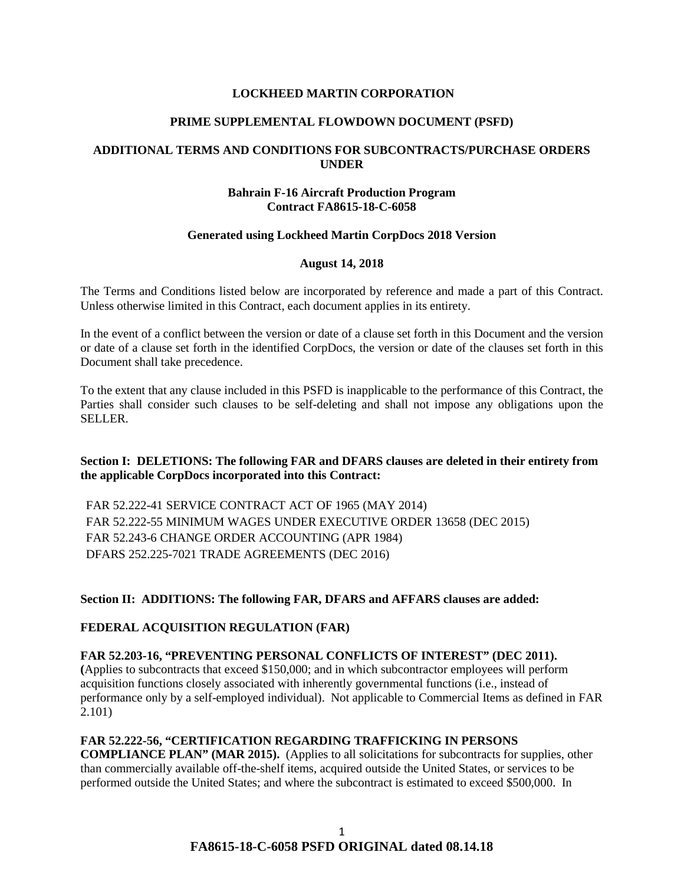## **LOCKHEED MARTIN CORPORATION**

### **PRIME SUPPLEMENTAL FLOWDOWN DOCUMENT (PSFD)**

## **ADDITIONAL TERMS AND CONDITIONS FOR SUBCONTRACTS/PURCHASE ORDERS UNDER**

### **Bahrain F-16 Aircraft Production Program Contract FA8615-18-C-6058**

## **Generated using Lockheed Martin CorpDocs 2018 Version**

#### **August 14, 2018**

The Terms and Conditions listed below are incorporated by reference and made a part of this Contract. Unless otherwise limited in this Contract, each document applies in its entirety.

In the event of a conflict between the version or date of a clause set forth in this Document and the version or date of a clause set forth in the identified CorpDocs, the version or date of the clauses set forth in this Document shall take precedence.

To the extent that any clause included in this PSFD is inapplicable to the performance of this Contract, the Parties shall consider such clauses to be self-deleting and shall not impose any obligations upon the SELLER.

## **Section I: DELETIONS: The following FAR and DFARS clauses are deleted in their entirety from the applicable CorpDocs incorporated into this Contract:**

FAR 52.222-41 SERVICE CONTRACT ACT OF 1965 (MAY 2014) FAR 52.222-55 MINIMUM WAGES UNDER EXECUTIVE ORDER 13658 (DEC 2015) FAR 52.243-6 CHANGE ORDER ACCOUNTING (APR 1984) DFARS 252.225-7021 TRADE AGREEMENTS (DEC 2016)

## **Section II: ADDITIONS: The following FAR, DFARS and AFFARS clauses are added:**

#### **[FEDERAL ACQUISITION REGULATION \(FAR\)](https://www.acquisition.gov/browsefar)**

#### **FAR 52.203-16, "PREVENTING PERSONAL CONFLICTS OF INTEREST" (DEC 2011).**

**(**Applies to subcontracts that exceed \$150,000; and in which subcontractor employees will perform acquisition functions closely associated with inherently governmental functions (i.e., instead of performance only by a self-employed individual). Not applicable to Commercial Items as defined in FAR 2.101)

# **FAR 52.222-56, "CERTIFICATION REGARDING TRAFFICKING IN PERSONS**

**COMPLIANCE PLAN" (MAR 2015).** (Applies to all solicitations for subcontracts for supplies, other than commercially available off-the-shelf items, acquired outside the United States, or services to be performed outside the United States; and where the subcontract is estimated to exceed \$500,000. In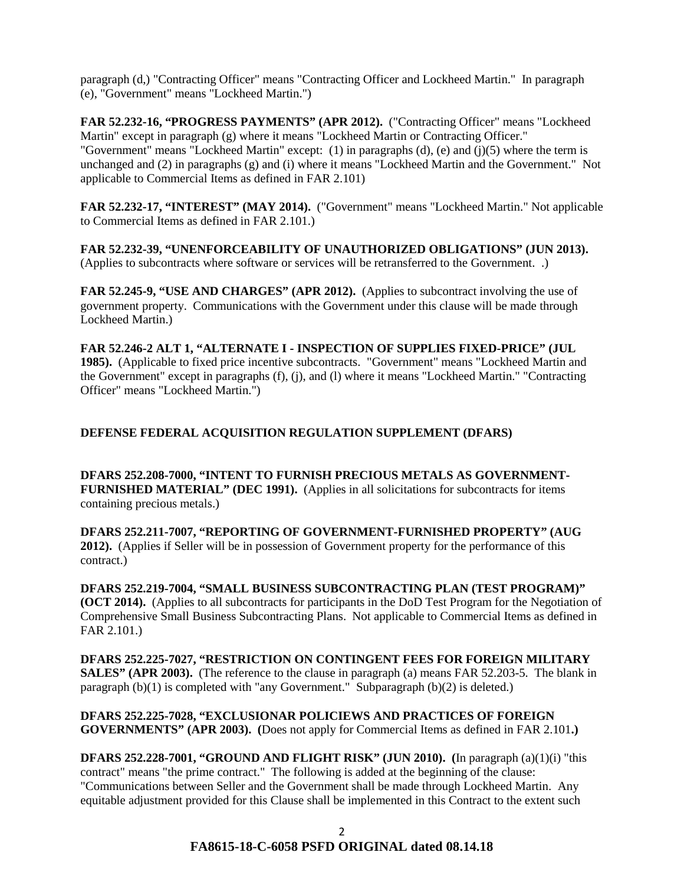paragraph (d,) "Contracting Officer" means "Contracting Officer and Lockheed Martin." In paragraph (e), "Government" means "Lockheed Martin.")

**FAR 52.232-16, "PROGRESS PAYMENTS" (APR 2012).** ("Contracting Officer" means "Lockheed Martin" except in paragraph (g) where it means "Lockheed Martin or Contracting Officer." "Government" means "Lockheed Martin" except: (1) in paragraphs (d), (e) and (j)(5) where the term is unchanged and (2) in paragraphs (g) and (i) where it means "Lockheed Martin and the Government." Not applicable to Commercial Items as defined in FAR 2.101)

**FAR 52.232-17, "INTEREST" (MAY 2014).** ("Government" means "Lockheed Martin." Not applicable to Commercial Items as defined in FAR 2.101.)

**FAR 52.232-39, "UNENFORCEABILITY OF UNAUTHORIZED OBLIGATIONS" (JUN 2013).** (Applies to subcontracts where software or services will be retransferred to the Government. .)

**FAR 52.245-9, "USE AND CHARGES" (APR 2012).** (Applies to subcontract involving the use of government property. Communications with the Government under this clause will be made through Lockheed Martin.)

**FAR 52.246-2 ALT 1, "ALTERNATE I - INSPECTION OF SUPPLIES FIXED-PRICE" (JUL 1985).** (Applicable to fixed price incentive subcontracts. "Government" means "Lockheed Martin and the Government" except in paragraphs (f), (j), and (l) where it means "Lockheed Martin." "Contracting Officer" means "Lockheed Martin.")

# **DEFENSE FEDERAL ACQUISITION REGULATION SUPPLEMENT (DFARS)**

**DFARS 252.208-7000, "INTENT TO FURNISH PRECIOUS METALS AS GOVERNMENT-FURNISHED MATERIAL" (DEC 1991).** (Applies in all solicitations for subcontracts for items containing precious metals.)

**DFARS 252.211-7007, "REPORTING OF GOVERNMENT-FURNISHED PROPERTY" (AUG 2012).** (Applies if Seller will be in possession of Government property for the performance of this contract.)

**DFARS 252.219-7004, "SMALL BUSINESS SUBCONTRACTING PLAN (TEST PROGRAM)" (OCT 2014).** (Applies to all subcontracts for participants in the DoD Test Program for the Negotiation of Comprehensive Small Business Subcontracting Plans. Not applicable to Commercial Items as defined in FAR 2.101.)

**DFARS 252.225-7027, "RESTRICTION ON CONTINGENT FEES FOR FOREIGN MILITARY SALES" (APR 2003).** (The reference to the clause in paragraph (a) means FAR 52.203-5. The blank in paragraph  $(b)(1)$  is completed with "any Government." Subparagraph  $(b)(2)$  is deleted.)

**DFARS 252.225-7028, "EXCLUSIONAR POLICIEWS AND PRACTICES OF FOREIGN GOVERNMENTS" (APR 2003). (**Does not apply for Commercial Items as defined in FAR 2.101**.)** 

**DFARS 252.228-7001, "GROUND AND FLIGHT RISK" (JUN 2010). (**In paragraph (a)(1)(i) "this contract" means "the prime contract." The following is added at the beginning of the clause: "Communications between Seller and the Government shall be made through Lockheed Martin. Any equitable adjustment provided for this Clause shall be implemented in this Contract to the extent such

# **FA8615-18-C-6058 PSFD ORIGINAL dated 08.14.18**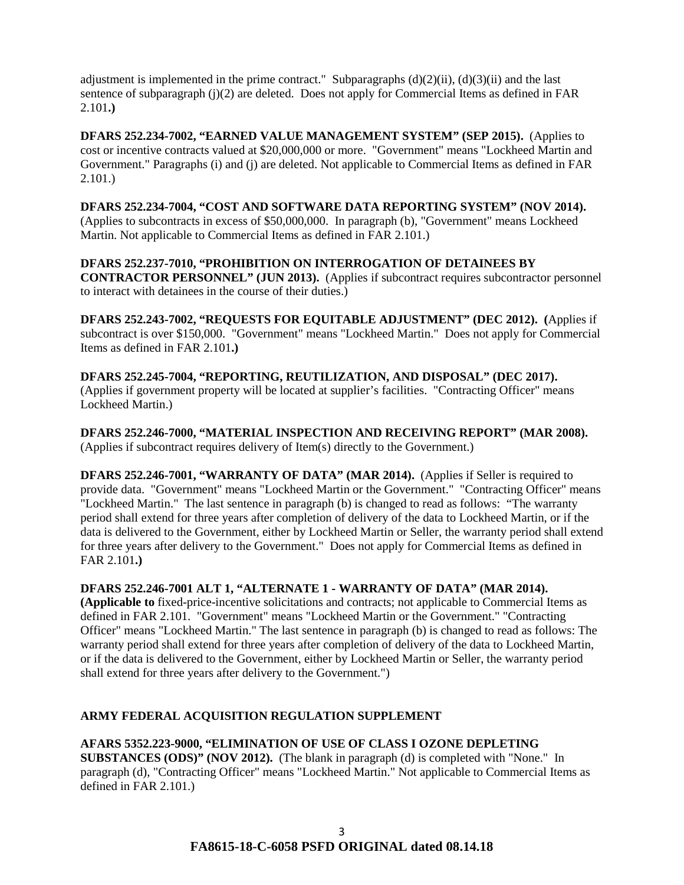adjustment is implemented in the prime contract." Subparagraphs  $(d)(2)(ii)$ ,  $(d)(3)(ii)$  and the last sentence of subparagraph (j)(2) are deleted. Does not apply for Commercial Items as defined in FAR 2.101**.)**

**DFARS 252.234-7002, "EARNED VALUE MANAGEMENT SYSTEM" (SEP 2015).** (Applies to cost or incentive contracts valued at \$20,000,000 or more. "Government" means "Lockheed Martin and Government." Paragraphs (i) and (j) are deleted. Not applicable to Commercial Items as defined in FAR 2.101.)

**DFARS 252.234-7004, "COST AND SOFTWARE DATA REPORTING SYSTEM" (NOV 2014).** (Applies to subcontracts in excess of \$50,000,000. In paragraph (b), "Government" means Lockheed Martin. Not applicable to Commercial Items as defined in FAR 2.101.)

## **DFARS 252.237-7010, "PROHIBITION ON INTERROGATION OF DETAINEES BY**

**CONTRACTOR PERSONNEL" (JUN 2013).** (Applies if subcontract requires subcontractor personnel to interact with detainees in the course of their duties.)

**DFARS 252.243-7002, "REQUESTS FOR EQUITABLE ADJUSTMENT" (DEC 2012). (**Applies if subcontract is over \$150,000. "Government" means "Lockheed Martin." Does not apply for Commercial Items as defined in FAR 2.101**.)**

**DFARS 252.245-7004, "REPORTING, REUTILIZATION, AND DISPOSAL" (DEC 2017).** (Applies if government property will be located at supplier's facilities. "Contracting Officer" means Lockheed Martin.)

**DFARS 252.246-7000, "MATERIAL INSPECTION AND RECEIVING REPORT" (MAR 2008).** (Applies if subcontract requires delivery of Item(s) directly to the Government.)

**DFARS 252.246-7001, "WARRANTY OF DATA" (MAR 2014).** (Applies if Seller is required to provide data. "Government" means "Lockheed Martin or the Government." "Contracting Officer" means "Lockheed Martin." The last sentence in paragraph (b) is changed to read as follows: "The warranty period shall extend for three years after completion of delivery of the data to Lockheed Martin, or if the data is delivered to the Government, either by Lockheed Martin or Seller, the warranty period shall extend for three years after delivery to the Government." Does not apply for Commercial Items as defined in FAR 2.101**.)**

**DFARS 252.246-7001 ALT 1, "ALTERNATE 1 - WARRANTY OF DATA" (MAR 2014).** 

**(Applicable to** fixed-price-incentive solicitations and contracts; not applicable to Commercial Items as defined in FAR 2.101. "Government" means "Lockheed Martin or the Government." "Contracting Officer" means "Lockheed Martin." The last sentence in paragraph (b) is changed to read as follows: The warranty period shall extend for three years after completion of delivery of the data to Lockheed Martin, or if the data is delivered to the Government, either by Lockheed Martin or Seller, the warranty period shall extend for three years after delivery to the Government.")

# **ARMY FEDERAL ACQUISITION REGULATION SUPPLEMENT**

**AFARS 5352.223-9000, "ELIMINATION OF USE OF CLASS I OZONE DEPLETING SUBSTANCES (ODS)" (NOV 2012).** (The blank in paragraph (d) is completed with "None." In paragraph (d), "Contracting Officer" means "Lockheed Martin." Not applicable to Commercial Items as defined in FAR 2.101.)